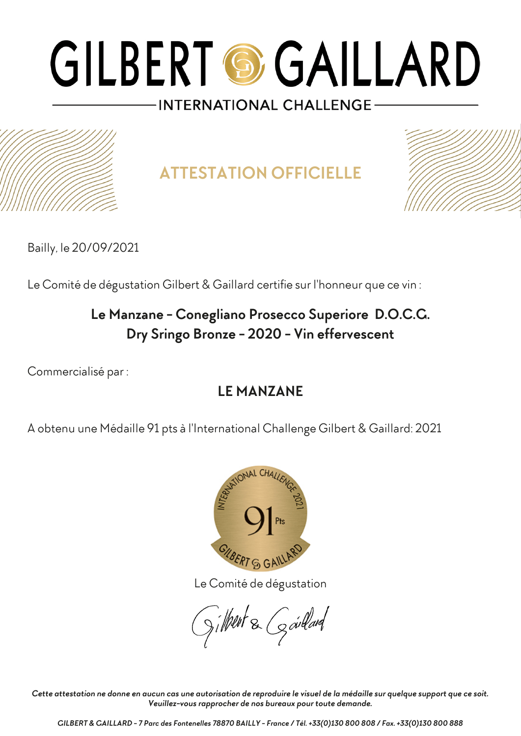

**ATTESTATION OFFICIELLE**



Bailly, le 20/09/2021

Le Comité de dégustation Gilbert & Gaillard certifie sur l'honneur que ce vin :

### **Le Manzane - Conegliano Prosecco Superiore D.O.C.G. Dry Sringo Bronze - 2020 - Vin effervescent**

Commercialisé par :

#### **LE MANZANE**

A obtenu une Médaille 91 pts à l'International Challenge Gilbert & Gaillard: 2021



Le Comité de dégustation

gilbert & Goullard

*Cette attestation ne donne en aucun cas une autorisation de reproduire le visuel de la médaille sur quelque support que ce soit. Veuillez-vous rapprocher de nos bureaux pour toute demande.*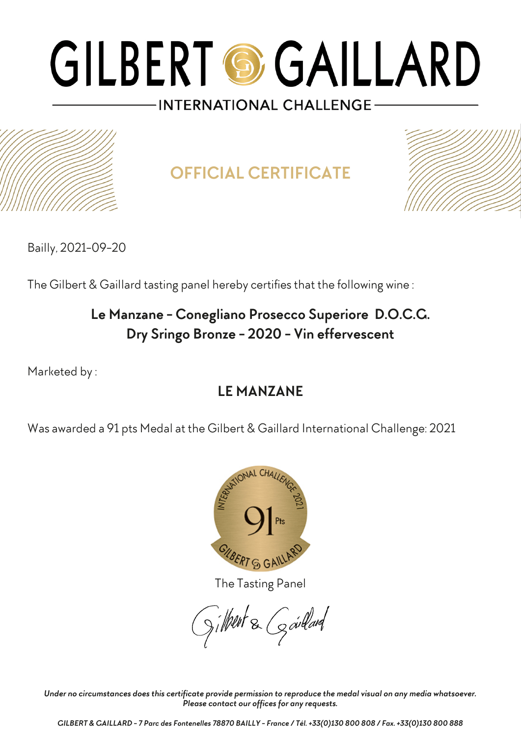

**OFFICIAL CERTIFICATE**



Bailly, 2021-09-20

The Gilbert & Gaillard tasting panel hereby certifies that the following wine :

## **Le Manzane - Conegliano Prosecco Superiore D.O.C.G. Dry Sringo Bronze - 2020 - Vin effervescent**

Marketed by :

## **LE MANZANE**

Was awarded a 91 pts Medal at the Gilbert & Gaillard International Challenge: 2021



The Tasting Panel

gilbert & Gardard

*Under no circumstances does this certificate provide permission to reproduce the medal visual on any media whatsoever. Please contact our offices for any requests.*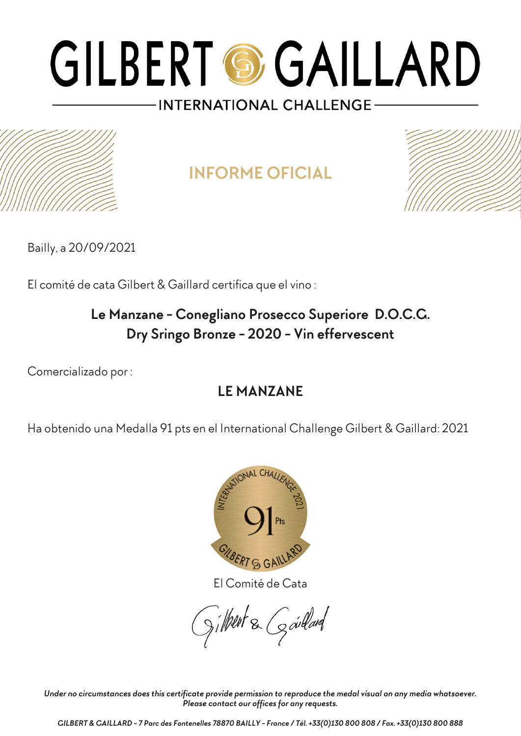

## **INFORME OFICIAL**



Bailly, a 20/09/2021

El comité de cata Gilbert & Gaillard certifica que el vino :

## **Le Manzane - Conegliano Prosecco Superiore D.O.C.G. Dry Sringo Bronze - 2020 - Vin effervescent**

Comercializado por :

## **LE MANZANE**

Ha obtenido una Medalla 91 pts en el International Challenge Gilbert & Gaillard: 2021



El Comité de Cata

 $S$ ilheut & Goullard

*Under no circumstances does this certificate provide permission to reproduce the medal visual on any media whatsoever. Please contact our offices for any requests.*